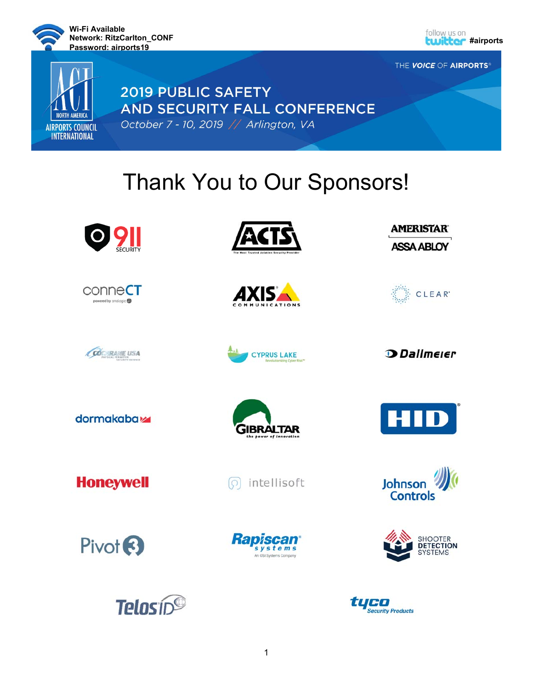

**NORTH AMERICA** 

**AIRPORTS COUNCIL INTERNATIONAL** 



THE VOICE OF AIRPORTS®

# **2019 PUBLIC SAFETY** AND SECURITY FALL CONFERENCE October 7 - 10, 2019 // Arlington, VA

# Thank You to Our Sponsors!

















**D** Dallmeier

dormakaba<sub>k</sub>





**Honeywell** 



Johnson **Controls** 

SHOOTER<br>**DETECTION**<br>SYSTEMS



**Telosin<sup>®</sup>** 







**Security Products**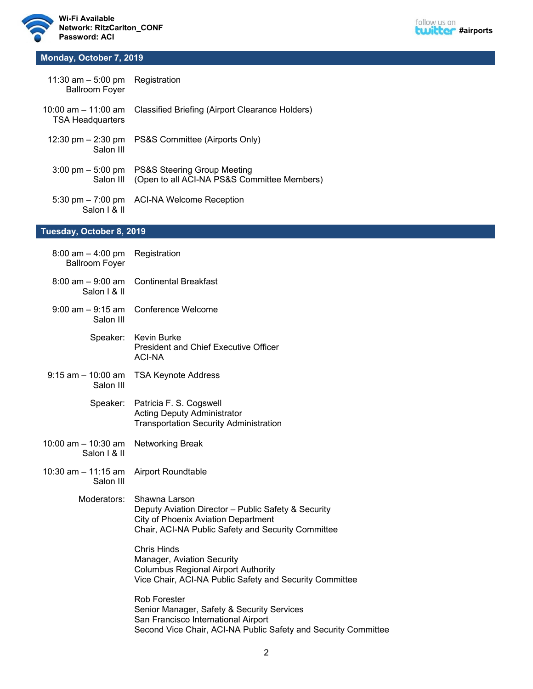



#### **Monday, October 7, 2019**

| 11:30 am $-$ 5:00 pm Registration<br><b>Ballroom Foyer</b> |                                                                            |
|------------------------------------------------------------|----------------------------------------------------------------------------|
| <b>TSA Headquarters</b>                                    | 10:00 am – 11:00 am    Classified Briefing (Airport Clearance Holders)     |
| 12:30 pm $-$ 2:30 pm<br>Salon III                          | PS&S Committee (Airports Only)                                             |
| $3:00 \text{ pm} - 5:00 \text{ pm}$<br>Salon III           | PS&S Steering Group Meeting<br>(Open to all ACI-NA PS&S Committee Members) |
| 5:30 pm $-7:00$ pm<br>Salon I & II                         | ACI-NA Welcome Reception                                                   |

## **Tuesday, October 8, 2019**

| $8:00$ am $-4:00$ pm<br><b>Ballroom Foyer</b> | Registration                                                                                                                                                               |
|-----------------------------------------------|----------------------------------------------------------------------------------------------------------------------------------------------------------------------------|
| $8:00$ am $-9:00$ am<br>Salon   & II          | <b>Continental Breakfast</b>                                                                                                                                               |
| $9:00$ am $-9:15$ am<br>Salon III             | <b>Conference Welcome</b>                                                                                                                                                  |
| Speaker:                                      | Kevin Burke<br><b>President and Chief Executive Officer</b><br><b>ACI-NA</b>                                                                                               |
| $9:15$ am $-10:00$ am<br>Salon III            | <b>TSA Keynote Address</b>                                                                                                                                                 |
| Speaker:                                      | Patricia F. S. Cogswell<br><b>Acting Deputy Administrator</b><br><b>Transportation Security Administration</b>                                                             |
| 10:00 am $-$ 10:30 am<br>Salon   & II         | <b>Networking Break</b>                                                                                                                                                    |
| 10:30 am $-$ 11:15 am<br>Salon III            | <b>Airport Roundtable</b>                                                                                                                                                  |
| Moderators:                                   | Shawna Larson<br>Deputy Aviation Director - Public Safety & Security<br><b>City of Phoenix Aviation Department</b><br>Chair, ACI-NA Public Safety and Security Committee   |
|                                               | <b>Chris Hinds</b><br>Manager, Aviation Security<br><b>Columbus Regional Airport Authority</b><br>Vice Chair, ACI-NA Public Safety and Security Committee                  |
|                                               | <b>Rob Forester</b><br>Senior Manager, Safety & Security Services<br>San Francisco International Airport<br>Second Vice Chair, ACI-NA Public Safety and Security Committee |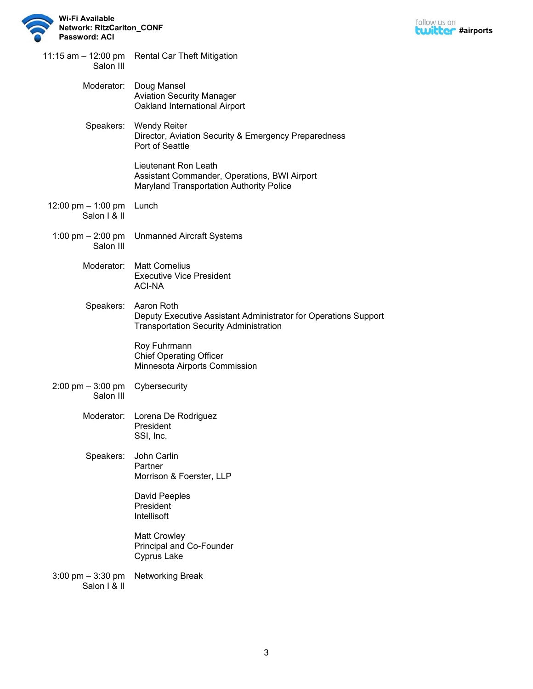



| Salon III                                           | 11:15 am - 12:00 pm Rental Car Theft Mitigation                                                                                |
|-----------------------------------------------------|--------------------------------------------------------------------------------------------------------------------------------|
| Moderator:                                          | Doug Mansel<br><b>Aviation Security Manager</b><br>Oakland International Airport                                               |
| Speakers:                                           | <b>Wendy Reiter</b><br>Director, Aviation Security & Emergency Preparedness<br>Port of Seattle                                 |
|                                                     | Lieutenant Ron Leath<br>Assistant Commander, Operations, BWI Airport<br>Maryland Transportation Authority Police               |
| 12:00 pm - 1:00 pm Lunch<br>Salon   & II            |                                                                                                                                |
| 1:00 pm – 2:00 pm<br>Salon III                      | <b>Unmanned Aircraft Systems</b>                                                                                               |
| Moderator:                                          | <b>Matt Cornelius</b><br><b>Executive Vice President</b><br><b>ACI-NA</b>                                                      |
| Speakers:                                           | Aaron Roth<br>Deputy Executive Assistant Administrator for Operations Support<br><b>Transportation Security Administration</b> |
|                                                     | Roy Fuhrmann<br><b>Chief Operating Officer</b><br>Minnesota Airports Commission                                                |
| $2:00 \text{ pm} - 3:00 \text{ pm}$<br>Salon III    | Cybersecurity                                                                                                                  |
|                                                     | Moderator: Lorena De Rodriguez<br>President<br>SSI, Inc.                                                                       |
| Speakers:                                           | John Carlin<br>Partner<br>Morrison & Foerster, LLP                                                                             |
|                                                     | David Peeples<br>President<br>Intellisoft                                                                                      |
|                                                     | <b>Matt Crowley</b><br>Principal and Co-Founder<br>Cyprus Lake                                                                 |
| $3:00 \text{ pm} - 3:30 \text{ pm}$<br>Salon I & II | <b>Networking Break</b>                                                                                                        |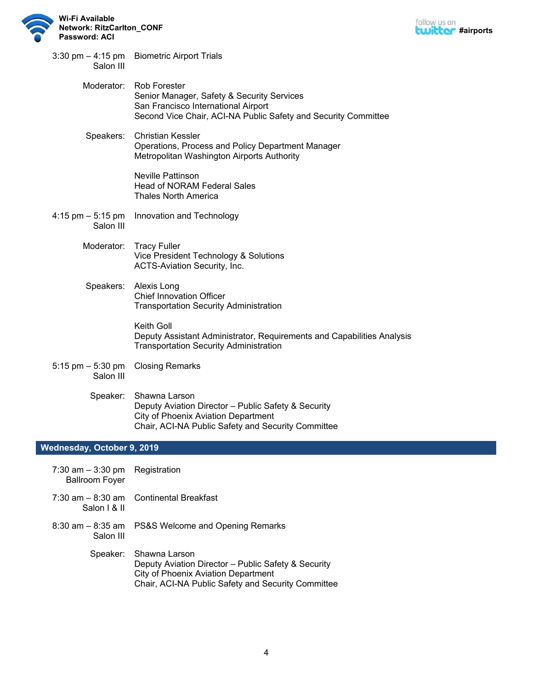



| $3:30 \text{ pm} - 4:15 \text{ pm}$<br>Salon III | <b>Biometric Airport Trials</b>                                                                                                                                            |
|--------------------------------------------------|----------------------------------------------------------------------------------------------------------------------------------------------------------------------------|
| Moderator:                                       | <b>Rob Forester</b><br>Senior Manager, Safety & Security Services<br>San Francisco International Airport<br>Second Vice Chair, ACI-NA Public Safety and Security Committee |
| Speakers:                                        | <b>Christian Kessler</b><br>Operations, Process and Policy Department Manager<br>Metropolitan Washington Airports Authority                                                |
|                                                  | <b>Neville Pattinson</b><br><b>Head of NORAM Federal Sales</b><br><b>Thales North America</b>                                                                              |
| 4:15 pm - 5:15 pm<br>Salon III                   | Innovation and Technology                                                                                                                                                  |
| Moderator:                                       | <b>Tracy Fuller</b><br>Vice President Technology & Solutions<br>ACTS-Aviation Security, Inc.                                                                               |
| Speakers:                                        | Alexis Long<br><b>Chief Innovation Officer</b><br><b>Transportation Security Administration</b>                                                                            |
|                                                  | Keith Goll<br>Deputy Assistant Administrator, Requirements and Capabilities Analysis<br><b>Transportation Security Administration</b>                                      |
| 5:15 pm $-$ 5:30 pm<br>Salon III                 | <b>Closing Remarks</b>                                                                                                                                                     |
| Speaker:                                         | Shawna Larson<br>Deputy Aviation Director - Public Safety & Security<br><b>City of Phoenix Aviation Department</b><br>Chair, ACI-NA Public Safety and Security Committee   |

## **Wednesday, October 9, 2019**

| 7:30 am $-$ 3:30 pm Registration<br><b>Ballroom Foyer</b> |                                                                                                                                                                                   |
|-----------------------------------------------------------|-----------------------------------------------------------------------------------------------------------------------------------------------------------------------------------|
| Salon I & II                                              | $7:30$ am $-8:30$ am Continental Breakfast                                                                                                                                        |
| Salon III                                                 | 8:30 am – 8:35 am PS&S Welcome and Opening Remarks                                                                                                                                |
|                                                           | Speaker: Shawna Larson<br>Deputy Aviation Director - Public Safety & Security<br><b>City of Phoenix Aviation Department</b><br>Chair, ACI-NA Public Safety and Security Committee |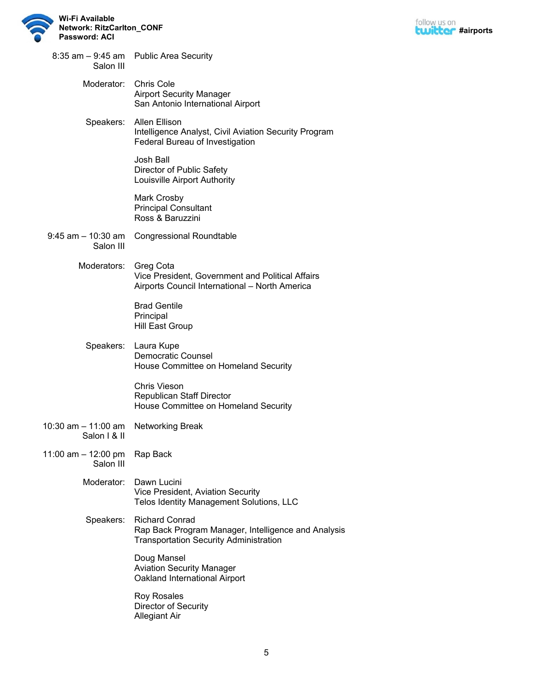



| Salon III                           | 8:35 am - 9:45 am Public Area Security                                                                                        |
|-------------------------------------|-------------------------------------------------------------------------------------------------------------------------------|
| Moderator:                          | <b>Chris Cole</b><br><b>Airport Security Manager</b><br>San Antonio International Airport                                     |
| Speakers:                           | <b>Allen Ellison</b><br>Intelligence Analyst, Civil Aviation Security Program<br>Federal Bureau of Investigation              |
|                                     | Josh Ball<br>Director of Public Safety<br>Louisville Airport Authority                                                        |
|                                     | Mark Crosby<br><b>Principal Consultant</b><br>Ross & Baruzzini                                                                |
| $9:45$ am $-10:30$ am<br>Salon III  | <b>Congressional Roundtable</b>                                                                                               |
| Moderators:                         | Greg Cota<br>Vice President, Government and Political Affairs<br>Airports Council International - North America               |
|                                     | <b>Brad Gentile</b><br>Principal<br><b>Hill East Group</b>                                                                    |
|                                     | Speakers: Laura Kupe<br><b>Democratic Counsel</b><br>House Committee on Homeland Security                                     |
|                                     | Chris Vieson<br><b>Republican Staff Director</b><br>House Committee on Homeland Security                                      |
| 10:30 am – 11:00 am<br>Salon   & II | <b>Networking Break</b>                                                                                                       |
| 11:00 am - 12:00 pm<br>Salon III    | Rap Back                                                                                                                      |
| Moderator:                          | Dawn Lucini<br>Vice President, Aviation Security<br>Telos Identity Management Solutions, LLC                                  |
| Speakers:                           | <b>Richard Conrad</b><br>Rap Back Program Manager, Intelligence and Analysis<br><b>Transportation Security Administration</b> |
|                                     | Doug Mansel<br><b>Aviation Security Manager</b><br>Oakland International Airport                                              |
|                                     | Roy Rosales<br>Director of Security<br><b>Allegiant Air</b>                                                                   |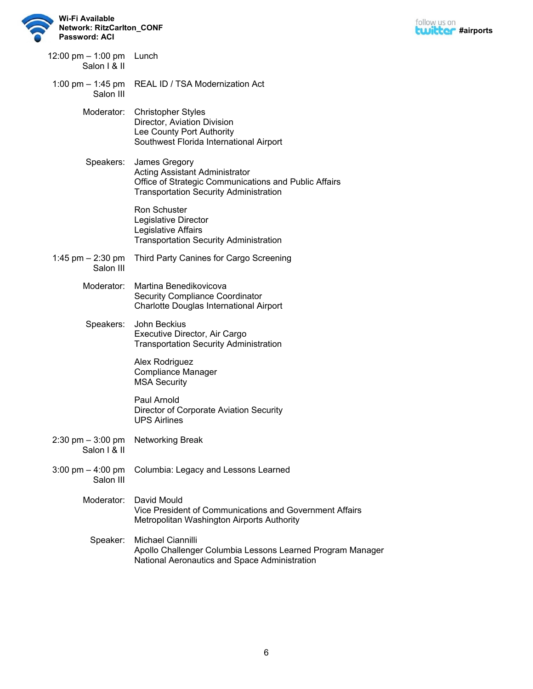



| 12:00 pm $-$ 1:00 pm Lunch<br>Salon I & II |                                                                                                                                                                  |
|--------------------------------------------|------------------------------------------------------------------------------------------------------------------------------------------------------------------|
| Salon III                                  | 1:00 pm - 1:45 pm REAL ID / TSA Modernization Act                                                                                                                |
|                                            | Moderator: Christopher Styles<br>Director, Aviation Division<br>Lee County Port Authority<br>Southwest Florida International Airport                             |
| Speakers:                                  | James Gregory<br><b>Acting Assistant Administrator</b><br>Office of Strategic Communications and Public Affairs<br><b>Transportation Security Administration</b> |
|                                            | <b>Ron Schuster</b><br>Legislative Director<br>Legislative Affairs<br><b>Transportation Security Administration</b>                                              |
| 1:45 pm $-$ 2:30 pm<br>Salon III           | Third Party Canines for Cargo Screening                                                                                                                          |
| Moderator:                                 | Martina Benedikovicova<br><b>Security Compliance Coordinator</b><br>Charlotte Douglas International Airport                                                      |
| Speakers:                                  | John Beckius<br>Executive Director, Air Cargo<br><b>Transportation Security Administration</b>                                                                   |
|                                            | Alex Rodriguez<br><b>Compliance Manager</b><br><b>MSA Security</b>                                                                                               |
|                                            | Paul Arnold<br>Director of Corporate Aviation Security<br><b>UPS Airlines</b>                                                                                    |
| $2:30$ pm $-3:00$ pm<br>Salon I & II       | <b>Networking Break</b>                                                                                                                                          |
| 3:00 pm $-$ 4:00 pm<br>Salon III           | Columbia: Legacy and Lessons Learned                                                                                                                             |
| Moderator:                                 | David Mould<br>Vice President of Communications and Government Affairs<br>Metropolitan Washington Airports Authority                                             |
| Speaker:                                   | Michael Ciannilli<br>Apollo Challenger Columbia Lessons Learned Program Manager<br>National Aeronautics and Space Administration                                 |